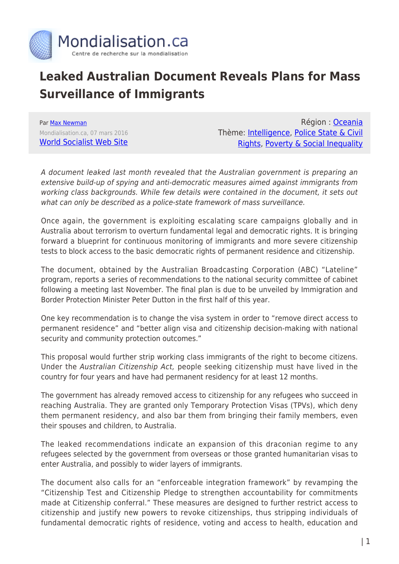

## **Leaked Australian Document Reveals Plans for Mass Surveillance of Immigrants**

Par [Max Newman](https://www.mondialisation.ca/author/max-newman) Mondialisation.ca, 07 mars 2016 [World Socialist Web Site](http://www.wsws.org/en/articles/2016/03/07/immi-m07.html)

Région : [Oceania](https://www.mondialisation.ca/region/oceania) Thème: [Intelligence,](https://www.mondialisation.ca/theme/intelligence) [Police State & Civil](https://www.mondialisation.ca/theme/police-state-civil-rights) [Rights](https://www.mondialisation.ca/theme/police-state-civil-rights), [Poverty & Social Inequality](https://www.mondialisation.ca/theme/poverty-social-inequality)

A document leaked last month revealed that the Australian government is preparing an extensive build-up of spying and anti-democratic measures aimed against immigrants from working class backgrounds. While few details were contained in the document, it sets out what can only be described as a police-state framework of mass surveillance.

Once again, the government is exploiting escalating scare campaigns globally and in Australia about terrorism to overturn fundamental legal and democratic rights. It is bringing forward a blueprint for continuous monitoring of immigrants and more severe citizenship tests to block access to the basic democratic rights of permanent residence and citizenship.

The document, obtained by the Australian Broadcasting Corporation (ABC) "Lateline" program, reports a series of recommendations to the national security committee of cabinet following a meeting last November. The final plan is due to be unveiled by Immigration and Border Protection Minister Peter Dutton in the first half of this year.

One key recommendation is to change the visa system in order to "remove direct access to permanent residence" and "better align visa and citizenship decision-making with national security and community protection outcomes."

This proposal would further strip working class immigrants of the right to become citizens. Under the Australian Citizenship Act, people seeking citizenship must have lived in the country for four years and have had permanent residency for at least 12 months.

The government has already removed access to citizenship for any refugees who succeed in reaching Australia. They are granted only Temporary Protection Visas (TPVs), which deny them permanent residency, and also bar them from bringing their family members, even their spouses and children, to Australia.

The leaked recommendations indicate an expansion of this draconian regime to any refugees selected by the government from overseas or those granted humanitarian visas to enter Australia, and possibly to wider layers of immigrants.

The document also calls for an "enforceable integration framework" by revamping the "Citizenship Test and Citizenship Pledge to strengthen accountability for commitments made at Citizenship conferral." These measures are designed to further restrict access to citizenship and justify new powers to revoke citizenships, thus stripping individuals of fundamental democratic rights of residence, voting and access to health, education and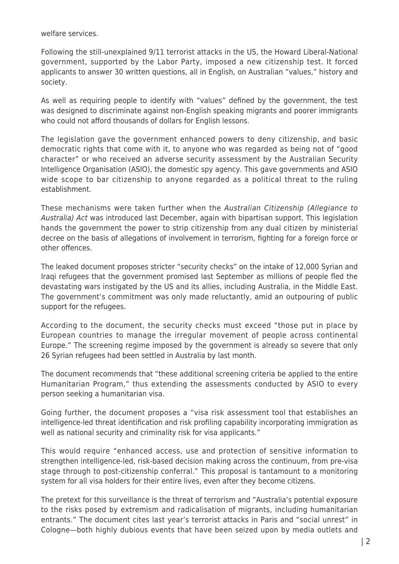welfare services.

Following the still-unexplained 9/11 terrorist attacks in the US, the Howard Liberal-National government, supported by the Labor Party, imposed a new citizenship test. It forced applicants to answer 30 written questions, all in English, on Australian "values," history and society.

As well as requiring people to identify with "values" defined by the government, the test was designed to discriminate against non-English speaking migrants and poorer immigrants who could not afford thousands of dollars for English lessons.

The legislation gave the government enhanced powers to deny citizenship, and basic democratic rights that come with it, to anyone who was regarded as being not of "good character" or who received an adverse security assessment by the Australian Security Intelligence Organisation (ASIO), the domestic spy agency. This gave governments and ASIO wide scope to bar citizenship to anyone regarded as a political threat to the ruling establishment.

These mechanisms were taken further when the Australian Citizenship (Allegiance to Australia) Act was introduced last December, again with bipartisan support. This legislation hands the government the power to strip citizenship from any dual citizen by ministerial decree on the basis of allegations of involvement in terrorism, fighting for a foreign force or other offences.

The leaked document proposes stricter "security checks" on the intake of 12,000 Syrian and Iraqi refugees that the government promised last September as millions of people fled the devastating wars instigated by the US and its allies, including Australia, in the Middle East. The government's commitment was only made reluctantly, amid an outpouring of public support for the refugees.

According to the document, the security checks must exceed "those put in place by European countries to manage the irregular movement of people across continental Europe." The screening regime imposed by the government is already so severe that only 26 Syrian refugees had been settled in Australia by last month.

The document recommends that "these additional screening criteria be applied to the entire Humanitarian Program," thus extending the assessments conducted by ASIO to every person seeking a humanitarian visa.

Going further, the document proposes a "visa risk assessment tool that establishes an intelligence-led threat identification and risk profiling capability incorporating immigration as well as national security and criminality risk for visa applicants."

This would require "enhanced access, use and protection of sensitive information to strengthen intelligence-led, risk-based decision making across the continuum, from pre-visa stage through to post-citizenship conferral." This proposal is tantamount to a monitoring system for all visa holders for their entire lives, even after they become citizens.

The pretext for this surveillance is the threat of terrorism and "Australia's potential exposure to the risks posed by extremism and radicalisation of migrants, including humanitarian entrants." The document cites last year's terrorist attacks in Paris and "social unrest" in Cologne—both highly dubious events that have been seized upon by media outlets and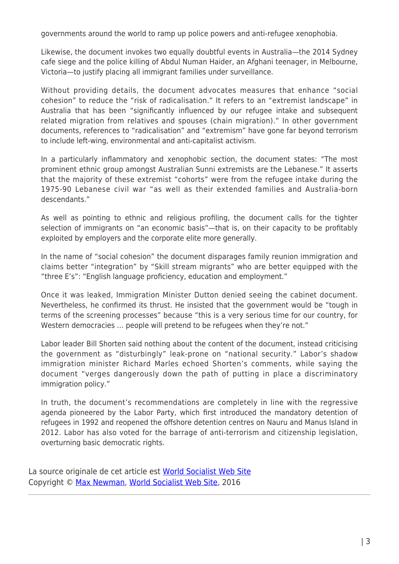governments around the world to ramp up police powers and anti-refugee xenophobia.

Likewise, the document invokes two equally doubtful events in Australia—the 2014 Sydney cafe siege and the police killing of Abdul Numan Haider, an Afghani teenager, in Melbourne, Victoria—to justify placing all immigrant families under surveillance.

Without providing details, the document advocates measures that enhance "social cohesion" to reduce the "risk of radicalisation." It refers to an "extremist landscape" in Australia that has been "significantly influenced by our refugee intake and subsequent related migration from relatives and spouses (chain migration)." In other government documents, references to "radicalisation" and "extremism" have gone far beyond terrorism to include left-wing, environmental and anti-capitalist activism.

In a particularly inflammatory and xenophobic section, the document states: "The most prominent ethnic group amongst Australian Sunni extremists are the Lebanese." It asserts that the majority of these extremist "cohorts" were from the refugee intake during the 1975-90 Lebanese civil war "as well as their extended families and Australia-born descendants."

As well as pointing to ethnic and religious profiling, the document calls for the tighter selection of immigrants on "an economic basis"—that is, on their capacity to be profitably exploited by employers and the corporate elite more generally.

In the name of "social cohesion" the document disparages family reunion immigration and claims better "integration" by "Skill stream migrants" who are better equipped with the "three E's": "English language proficiency, education and employment."

Once it was leaked, Immigration Minister Dutton denied seeing the cabinet document. Nevertheless, he confirmed its thrust. He insisted that the government would be "tough in terms of the screening processes" because "this is a very serious time for our country, for Western democracies … people will pretend to be refugees when they're not."

Labor leader Bill Shorten said nothing about the content of the document, instead criticising the government as "disturbingly" leak-prone on "national security." Labor's shadow immigration minister Richard Marles echoed Shorten's comments, while saying the document "verges dangerously down the path of putting in place a discriminatory immigration policy."

In truth, the document's recommendations are completely in line with the regressive agenda pioneered by the Labor Party, which first introduced the mandatory detention of refugees in 1992 and reopened the offshore detention centres on Nauru and Manus Island in 2012. Labor has also voted for the barrage of anti-terrorism and citizenship legislation, overturning basic democratic rights.

La source originale de cet article est [World Socialist Web Site](http://www.wsws.org/en/articles/2016/03/07/immi-m07.html) Copyright © [Max Newman](https://www.mondialisation.ca/author/max-newman), [World Socialist Web Site,](http://www.wsws.org/en/articles/2016/03/07/immi-m07.html) 2016